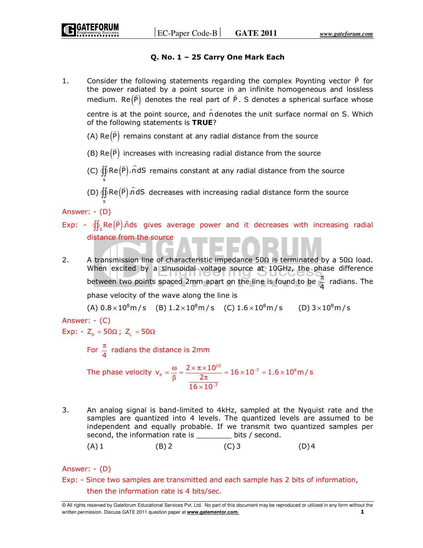# **Q. No. 1 – 25 Carry One Mark Each**

1. Consider the following statements regarding the complex Poynting vector P  $\overline{a}$  for the power radiated by a point source in an infinite homogeneous and lossless medium.  $\mathsf{Re}(\mathsf{P})$  denotes the real part of P. S denotes a spherical surface whose

centre is at the point source, and  $\hat{n}$  denotes the unit surface normal on S. Which of the following statements is **TRUE**?  $\overline{a}$ 

 $(A)$   $Re(P)$ remains constant at any radial distance from the source

 $(B)$  Re $(P)$  $\overline{a}$ increases with increasing radial distance from the source

(C)  $\bigoplus \text{Re}(\vec{\textsf{P}})$ . ndS remains constant at any radial distance from the source

(D)  $\bigoplus$  Re $(\vec{\mathsf{P}})$   $\hat{\mathsf{n}}$ dS decreases with increasing radial distance form the source

Answer: - (D)

s

s

- Exp:  $\oiint_S Re(\vec{P})$  *n*ds gives average power and it decreases with increasing radial distance from the source
- 2. A transmission line of characteristic impedance  $50\Omega$  is terminated by a  $50\Omega$  load. When excited by a sinusoidal voltage source at 10GHz, the phase difference between two points spaced 2mm apart on the line is found to be  $\frac{\pi}{4}$  $\frac{\pi}{4}$  radians. The

phase velocity of the wave along the line is

(A)  $0.8 \times 10^8$  m/s (B)  $1.2 \times 10^8$  m/s (C)  $1.6 \times 10^8$  m/s (D)  $3 \times 10^8$  m/s

Answer: - (C)

Exp: -  $Z_0 = 50\Omega$ ;  $Z_L = 50\Omega$ 

For  $\frac{\pi}{4}$  $\frac{\pi}{4}$  radians the distance is 2mm

The phase velocity  $v_p = \frac{\omega}{\rho} = \frac{2 \times \pi \times 10^{10}}{2 \pi} = 16 \times 10^{-7} = 1.6 \times 10^8$ 3  $v_p = \frac{\omega}{\beta} = \frac{2 \times \pi \times 10^{10}}{2\pi} = 16 \times 10^{-7} = 1.6 \times 10^8 m/s$  $16 \times 10$ −  $=\frac{\omega}{\beta} = \frac{2 \times \pi \times 10^{10}}{2\pi} = 16 \times 10^{-7} = 1.6 \times$ ×

3. An analog signal is band-limited to 4kHz, sampled at the Nyquist rate and the samples are quantized into 4 levels. The quantized levels are assumed to be independent and equally probable. If we transmit two quantized samples per second, the information rate is \_\_\_\_\_\_\_\_ bits / second.

$$
(A) 1 \t\t (B) 2 \t\t (C) 3 \t\t (D) 4
$$

Answer: - (D)

Exp: - Since two samples are transmitted and each sample has 2 bits of information, then the information rate is 4 bits/sec.

<sup>©</sup> All rights reserved by Gateforum Educational Services Pvt. Ltd. No part of this document may be reproduced or utilized in any form without the written permission. Discuss GATE 2011 question paper at **www.gatementor.com**. **1**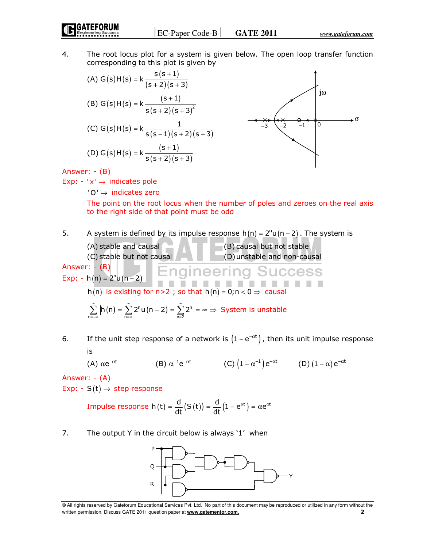4. The root locus plot for a system is given below. The open loop transfer function corresponding to this plot is given by

(A) 
$$
G(s)H(s) = k \frac{s(s+1)}{(s+2)(s+3)}
$$
  
\n(B)  $G(s)H(s) = k \frac{(s+1)}{s(s+2)(s+3)^2}$   
\n(C)  $G(s)H(s) = k \frac{1}{s(s-1)(s+2)(s+3)}$ 

Answer: - (B)

Exp:  $-$  ' $x' \rightarrow$  indicates pole

'O' → indicates zero

The point on the root locus when the number of poles and zeroes on the real axis to the right side of that point must be odd

- 5. A system is defined by its impulse response  $h(n) = 2<sup>n</sup>u(n-2)$ . The system is
	- (A) stable and causal (B) causal but not stable (C) stable but not causal (D) unstable and non-causal

Answer: - (B) Engineering Success Exp: -  $h(n) = 2<sup>n</sup> u(n-2)$ . . . . . . h(n) is existing for  $n>2$ ; so that  $h(n) = 0; n < 0 \Rightarrow$  causal

$$
\sum_{n=-\infty}^{\infty}\left|h\left(n\right)=\sum_{n=\infty}^{\infty}2^{n}u\left(n-2\right)=\sum_{n=2}^{\infty}2^{n}=\infty\Rightarrow \text{ System is unstable}
$$

6. If the unit step response of a network is  $(1-e^{-\alpha t})$ , then its unit impulse response is

(A)  $\alpha e^{-\alpha t}$  $\alpha {\rm e}^{-\alpha {\rm t}} \qquad \qquad \text{ (B) } \alpha^{-1} {\rm e}^{-\alpha {\rm t}} \qquad \qquad \text{ (C) } \big( 1 - \alpha^{-1} \big) {\rm e}^{-\alpha {\rm t}} \qquad \qquad \text{ (D) } (1 - \alpha) \, {\rm e}^{-\alpha {\rm t}}$ 

Answer: - (A)

Exp: -  $S(t) \rightarrow$  step response

Impulse response 
$$
h(t) = \frac{d}{dt}(S(t)) = \frac{d}{dt}(1 - e^{\alpha t}) = \alpha e^{\alpha t}
$$

7. The output Y in the circuit below is always '1' when



<sup>©</sup> All rights reserved by Gateforum Educational Services Pvt. Ltd. No part of this document may be reproduced or utilized in any form without the written permission. Discuss GATE 2011 question paper at **www.gatementor.com**. **2**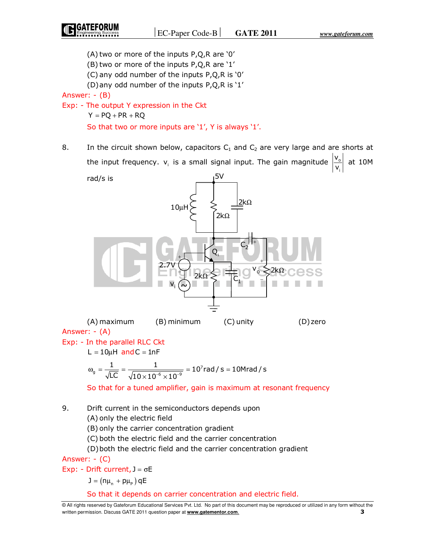i

(A) two or more of the inputs P,Q,R are '0'

(B) two or more of the inputs P,Q,R are '1'

(C) any odd number of the inputs P,Q,R is '0'

(D) any odd number of the inputs P,Q,R is '1'

Answer: - (B)

Exp: - The output Y expression in the Ckt

```
Y = PQ + PR + RQ
```
So that two or more inputs are '1', Y is always '1'.

8. In the circuit shown below, capacitors  $C_1$  and  $C_2$  are very large and are shorts at the input frequency.  $v_i$  is a small signal input. The gain magnitude  $\frac{v_o}{v}$ v v at 10M



 (A) maximum (B) minimum (C) unity (D) zero Answer: - (A) Exp: - In the parallel RLC Ckt

 $L = 10 \mu H$  and  $C = 1nF$ 

$$
\omega_{g} = \frac{1}{\sqrt{LC}} = \frac{1}{\sqrt{10 \times 10^{-6} \times 10^{-9}}} = 10^{7} \text{rad/s} = 10 \text{Mrad/s}
$$

So that for a tuned amplifier, gain is maximum at resonant frequency

9. Drift current in the semiconductors depends upon

(A) only the electric field

(B) only the carrier concentration gradient

(C) both the electric field and the carrier concentration

(D) both the electric field and the carrier concentration gradient

Answer: - (C)

Exp: - Drift current,  $J = \sigma E$ 

 $J = (n\mu_n + p\mu_p) qE$ 

So that it depends on carrier concentration and electric field.

<sup>©</sup> All rights reserved by Gateforum Educational Services Pvt. Ltd. No part of this document may be reproduced or utilized in any form without the written permission. Discuss GATE 2011 question paper at **www.gatementor.com**. **3**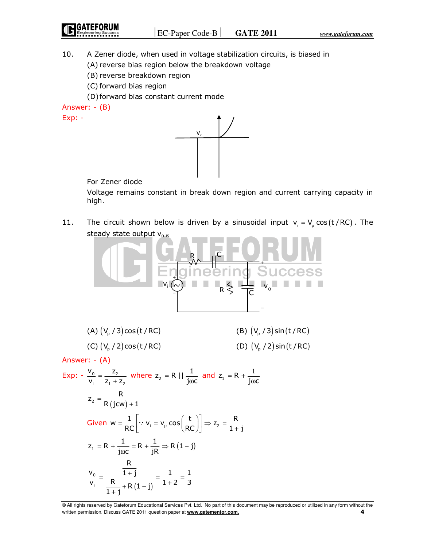**GATEFORUM** 

- 10. A Zener diode, when used in voltage stabilization circuits, is biased in
	- (A) reverse bias region below the breakdown voltage
	- (B) reverse breakdown region
	- (C) forward bias region
	- (D) forward bias constant current mode

Answer: - (B)

Exp: -



## For Zener diode

 Voltage remains constant in break down region and current carrying capacity in high.

11. The circuit shown below is driven by a sinusoidal input  $v_i = V_p \cos(t / RC)$ . The steady state output  $V_{o}$  is



| (A) $(V_p / 3) cos(t / RC)$  | (B) $(V_p / 3) \sin(t / RC)$ |
|------------------------------|------------------------------|
| (C) $(V_p / 2) \cos(t / RC)$ | (D) $(V_p / 2) \sin(t / RC)$ |

Answer: - (A)

$$
\begin{aligned}\n\text{Exp:} \quad & -\frac{\mathsf{V}_0}{\mathsf{V}_i} = \frac{\mathsf{Z}_2}{\mathsf{Z}_1 + \mathsf{Z}_2} \quad \text{where } \mathsf{Z}_2 = \mathsf{R} \mid \left| \frac{1}{\text{j} \omega \mathsf{C}} \text{ and } \mathsf{Z}_1 = \mathsf{R} + \frac{1}{\text{j} \omega \mathsf{C}} \right. \\
& \mathsf{Z}_2 = \frac{\mathsf{R}}{\mathsf{R}(\text{j} \mathsf{C} \mathsf{W}) + 1} \\
\text{Given } \mathsf{W} = \frac{1}{\mathsf{RC}} \left[ \because \mathsf{V}_i = \mathsf{V}_p \cos\left(\frac{\mathsf{t}}{\mathsf{RC}}\right) \right] \Rightarrow \mathsf{Z}_2 = \frac{\mathsf{R}}{1 + \mathsf{j}} \\
& \mathsf{Z}_1 = \mathsf{R} + \frac{1}{\text{j} \omega \mathsf{C}} = \mathsf{R} + \frac{1}{\mathsf{j} \mathsf{R}} \Rightarrow \mathsf{R}(\mathsf{1} - \mathsf{j}) \\
\frac{\mathsf{V}_0}{\mathsf{V}_i} = \frac{\frac{\mathsf{R}}{1 + \mathsf{j}}}{\frac{\mathsf{R}}{1 + \mathsf{j}} + \mathsf{R}(\mathsf{1} - \mathsf{j})} = \frac{1}{1 + 2} = \frac{1}{3}\n\end{aligned}
$$

<sup>©</sup> All rights reserved by Gateforum Educational Services Pvt. Ltd. No part of this document may be reproduced or utilized in any form without the written permission. Discuss GATE 2011 question paper at **www.gatementor.com**. **4**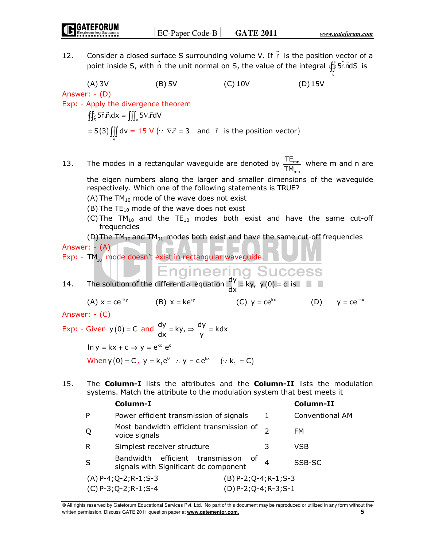s

12. Consider a closed surface S surrounding volume V. If r  $\overline{a}$  is the position vector of a Consider a closed surface S surfouriding volume v. If it is the position vector or a point inside S, with  $\hat{n}$  the unit normal on S, the value of the integral  $\oiint \hat{S} \cdot \vec{n} dS$  is

 (A) 3V (B) 5V (C) 10V (D) 15V Answer: - (D) Exp: - Apply the divergence theorem  $\iint_S$  5r.n.dx =  $\iiint_V$  5 $\nabla$ .rdV (3) = 5(3)  $\iiint\limits_{V} dv = 15 V (\because \nabla \vec{r} = 3$  and  $\vec{r}$  is the position vector)

13. The modes in a rectangular waveguide are denoted by mn mn TE  $\frac{12^{m}}{TM_{mn}}$  where m and n are

the eigen numbers along the larger and smaller dimensions of the waveguide respectively. Which one of the following statements is TRUE?

- (A) The  $TM_{10}$  mode of the wave does not exist
- $(B)$  The TE<sub>10</sub> mode of the wave does not exist
- (C) The TM<sub>10</sub> and the TE<sub>10</sub> modes both exist and have the same cut-off frequencies

(D) The TM<sub>10</sub> and TM<sub>01</sub> modes both exist and have the same cut-off frequencies Answer: - (A)

Exp: - TM<sub>10</sub> mode doesn't exist in rectangular waveguide.

14. The solution of the differential equation  $\frac{dy}{dx} = ky$ , y (0) = c is

 $(A)$  x = ce<sup>-ky</sup>  $=$  ce<sup>−ky</sup> (B)  $x = ke^{cy}$  (C)  $y = ce^{kx}$  (D)  $y = ce^{-kx}$ 

Answer: - (C)

Exp: - Given  $y(0) = C$  and  $\frac{dy}{dx} = ky$ ,  $=$  ky,  $\Rightarrow \frac{dy}{y}$  = kdx  $\Rightarrow \frac{dy}{dx} =$  $\ln v = kx + c \Rightarrow v = e^{kx} e^{c}$ When  $y(0) = C$ ,  $y = k_1 e^0$  :  $y = c e^{kx}$   $(: k_1 = C)$ 

15. The **Column-I** lists the attributes and the **Column-II** lists the modulation systems. Match the attribute to the modulation system that best meets it

|   | Column-I                                                                  |                          |   | Column-II       |
|---|---------------------------------------------------------------------------|--------------------------|---|-----------------|
| P | Power efficient transmission of signals                                   |                          | 1 | Conventional AM |
| Q | Most bandwidth efficient transmission of<br>voice signals                 |                          |   | FM.             |
| R | Simplest receiver structure                                               |                          | З | <b>VSB</b>      |
| S | Bandwidth efficient transmission<br>signals with Significant dc component | оf                       |   | SSB-SC          |
|   | $(A)$ P-4; Q-2; R-1; S-3                                                  | $(B)$ P-2; Q-4; R-1; S-3 |   |                 |
|   | $(C) P-3; Q-2; R-1; S-4$                                                  | $(D)$ P-2; Q-4; R-3; S-1 |   |                 |

© All rights reserved by Gateforum Educational Services Pvt. Ltd. No part of this document may be reproduced or utilized in any form without the written permission. Discuss GATE 2011 question paper at **www.gatementor.com**. **5**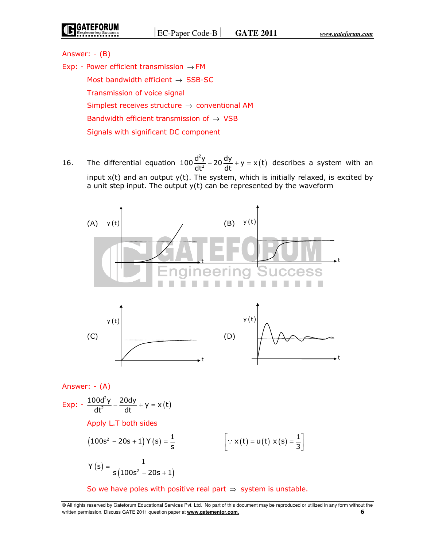Answer: - (B)

Exp: - Power efficient transmission  $\rightarrow$  FM Most bandwidth efficient  $\rightarrow$  SSB-SC Transmission of voice signal Simplest receives structure  $\rightarrow$  conventional AM Bandwidth efficient transmission of  $\rightarrow$  VSB Signals with significant DC component

16. The differential equation  $100 \frac{d^2y}{dt^2} - 20 \frac{dy}{dt} + y = x(t)$  $100 \frac{d^2y}{dt^2} - 20 \frac{dy}{dt} + y = x(t)$  $dt^2$  dt  $-20\frac{dy}{dt} + y = x(t)$  describes a system with an input x(t) and an output y(t). The system, which is initially relaxed, is excited by a unit step input. The output  $y(t)$  can be represented by the waveform



# Apply L.T both sides

$$
(100s2 - 20s + 1) Y(s) = \frac{1}{s}
$$
 
$$
\left[ \because x(t) = u(t) x(s) = \frac{1}{3} \right]
$$

$$
Y(s) = \frac{1}{s(100s^2 - 20s + 1)}
$$

So we have poles with positive real part  $\Rightarrow$  system is unstable.

<sup>©</sup> All rights reserved by Gateforum Educational Services Pvt. Ltd. No part of this document may be reproduced or utilized in any form without the written permission. Discuss GATE 2011 question paper at **www.gatementor.com**. **6**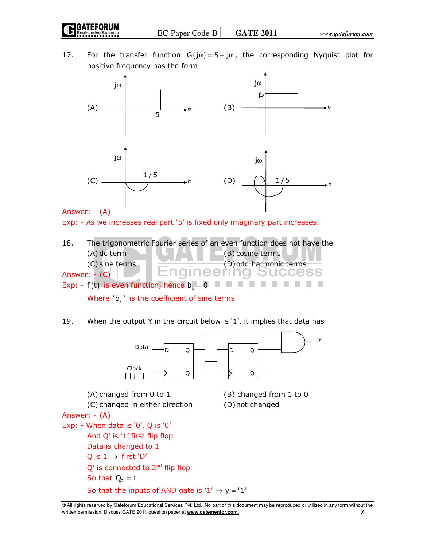17. For the transfer function  $G(j\omega) = 5 + j\omega$ , the corresponding Nyquist plot for positive frequency has the form



Answer: - (A)

Exp: - As we increases real part '5' is fixed only imaginary part increases.

18. The trigonometric Fourier series of an even function does not have the  $(A)$  dc term  $(B)$  cosine terms (C) sine terms (D) odd harmonic terms<br>  $\overline{C}$  = (C) Answer: - (C) Exp: - f(t) is even function, hence  $b_k = 0$ 

Where  $'b_k$ <sup>'</sup> is the coefficient of sine terms

19. When the output Y in the circuit below is '1', it implies that data has



<sup>©</sup> All rights reserved by Gateforum Educational Services Pvt. Ltd. No part of this document may be reproduced or utilized in any form without the written permission. Discuss GATE 2011 question paper at **www.gatementor.com**. **7**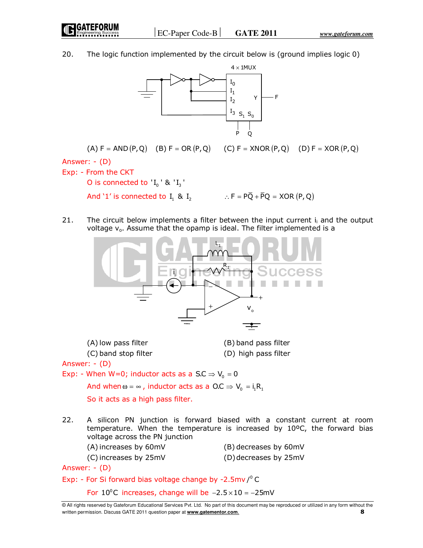EC-Paper Code-B **GATE 2011** *www.gateforum.com*

20. The logic function implemented by the circuit below is (ground implies logic 0)



(A)  $F = AND (P, Q)$  (B)  $F = OR (P, Q)$  (C)  $F = XNOR (P, Q)$  (D)  $F = XOR (P, Q)$ Answer: - (D) Exp: - From the CKT

O is connected to  $I_0'$  ' &  $I_3'$ 

- And '1' is connected to  $I_1$  &  $I_2$   $\therefore$   $F = P\overline{Q} + \overline{P}Q = XOR (P, Q)$
- 21. The circuit below implements a filter between the input current  $i_i$  and the output voltage  $v_0$ . Assume that the opamp is ideal. The filter implemented is a



| (A) low pass filter  | (B) band pass filter |
|----------------------|----------------------|
| (C) band stop filter | (D) high pass filter |

Answer: - (D)

Exp: - When W=0; inductor acts as a S.C  $\Rightarrow$  V<sub>0</sub> = 0

And when  $\omega = \infty$ , inductor acts as a O.C  $\Rightarrow V_0 = i_1 R_1$ 

So it acts as a high pass filter.

22. A silicon PN junction is forward biased with a constant current at room temperature. When the temperature is increased by 10ºC, the forward bias voltage across the PN junction

| (A) increases by 60mV | (B) decreases by 60mV |
|-----------------------|-----------------------|
| (C) increases by 25mV | (D) decreases by 25mV |

Answer: - (D)

Exp: - For Si forward bias voltage change by -2.5mv/ $^{\circ}$ C

For  $10^{\circ}$ C increases, change will be  $-2.5 \times 10 = -25$ mV

<sup>©</sup> All rights reserved by Gateforum Educational Services Pvt. Ltd. No part of this document may be reproduced or utilized in any form without the written permission. Discuss GATE 2011 question paper at **www.gatementor.com**. **8**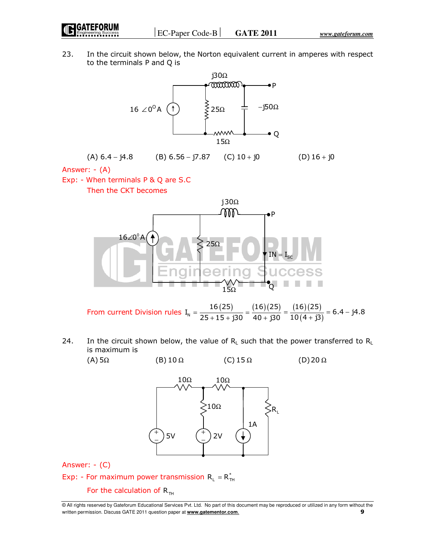23. In the circuit shown below, the Norton equivalent current in amperes with respect to the terminals P and Q is



(A)  $6.4 - j4.8$  (B)  $6.56 - j7.87$  (C)  $10 + j0$  (D)  $16 + j0$ 

Answer: - (A)

Exp: - When terminals P & Q are S.C

Then the CKT becomes



From current Division rules  $I_N = \frac{16(25)}{35 \times 15 \times 320} = \frac{(16)(25)}{40 \times 320}$  $I_{\text{N}} = \frac{16(25)}{25 + 15 + j30} = \frac{(16)(25)}{40 + j30}$  $=\frac{16(16)}{25+15+130}=\frac{160}{40+1}$ ( 16 ) ( 25 )  $\sqrt{(4 + j3)}$  $\frac{(16)(25)}{10(4 + 3)} = 6.4 - 34.8$  $=\frac{(-5)(-5)}{10(4 + 3)} = 6.4 -$ 

24. In the circuit shown below, the value of  $R_L$  such that the power transferred to  $R_L$ is maximum is





Answer: - (C)

Exp: - For maximum power transmission  $R_L = R_{TH}^*$ 

For the calculation of  $R_{TH}$ 

<sup>©</sup> All rights reserved by Gateforum Educational Services Pvt. Ltd. No part of this document may be reproduced or utilized in any form without the written permission. Discuss GATE 2011 question paper at **www.gatementor.com**. **9**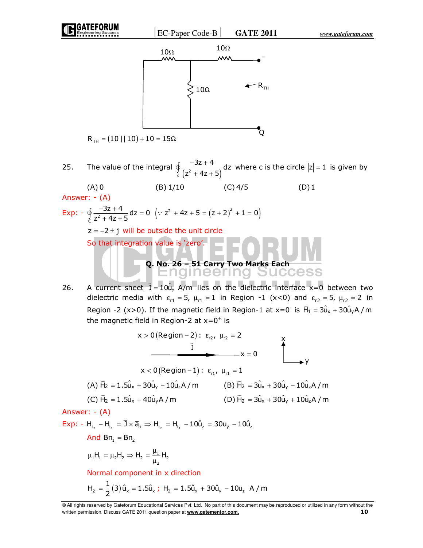EC-Paper Code-B **GATE 2011** *www.gateforum.com*





 $R_{\text{TH}} = (10 || 10) + 10 = 15 \Omega$ 

25. The value of the integral  $\oint_c \frac{32}{(z^2 + 4z + 5)}$  $\frac{3z+4}{z}$ dz  $z^2 + 4z + 5$ −3z +  $\oint_c \frac{-32+4}{(z^2+4z+5)} dz$  where c is the circle  $|z|=1$  is given by

 $(A) 0$  (B) 1/10 (C) 4/5 (D) 1 Answer: - (A)  $\frac{-3z+4}{z}$  dz =  $\frac{3z + 4}{z}$  dz = 0  $\oint_C \frac{-3z+4}{z^2+4z+5} dz = 0 \quad (\because z^2+4z+5 = (z+2)^2 + 1 = 0)$ Exp: -  $\oint_C \frac{1}{z^2}$  $z^2 + 4z + 5$  $z = -2 \pm j$  will be outside the unit circle So that integration value is 'zero'. **Q. No. 26 – 51 Carry Two Marks Each**  <u>idineering</u> Heicis  $\overline{a}$ 

26. A current sheet  $\vec{J} = 10\hat{u}_y$  A/m lies on the dielectric interface x=0 between two dielectric media with  $\varepsilon_{r1} = 5$ ,  $\mu_{r1} = 1$  in Region -1 (x<0) and  $\varepsilon_{r2} = 5$ ,  $\mu_{r2} = 2$  in Region -2 (x>0). If the magnetic field in Region-1 at x=0<sup>-</sup> is  $\overline{H}_1 = 3\hat{u}_x + 30\hat{u}_y A/m$ the magnetic field in Region-2 at  $x=0^+$  is

$$
x > 0 \text{ (Region - 2): } \varepsilon_{r2}, \mu_{r2} = 2
$$
\n
$$
\frac{1}{y}
$$
\n
$$
x = 0
$$
\n
$$
x < 0 \text{ (Region - 1): } \varepsilon_{r1}, \mu_{r1} = 1
$$
\n(A)  $\vec{H}_2 = 1.5\hat{u}_x + 30\hat{u}_y - 10\hat{u}_z A / m$ \n(B)  $\vec{H}_2 = 3\hat{u}_x + 30\hat{u}_y - 10\hat{u}_z A / m$ \n(C)  $\vec{H}_2 = 1.5\hat{u}_x + 40\hat{u}_y A / m$ \n(D)  $\vec{H}_2 = 3\hat{u}_x + 30\hat{u}_y + 10\hat{u}_z A / m$ \nAnswer: - (A)\n  
\nExp: - H<sub>t<sub>2</sub></sub> - H<sub>t<sub>1</sub></sub> =  $\overline{J} \times \overline{a}_n \Rightarrow H_{t_2} = H_{t_1} - 10\hat{u}_z = 30u_y - 10\hat{u}_z$ \nAnd  $Br_1 = Br_2$ \n
$$
\mu_1 H_1 = \mu_2 H_2 \Rightarrow H_2 = \frac{\mu_1}{\mu_2} H_2
$$
\nNormal component in x direction\n
$$
H_2 = \frac{1}{2}(3) \hat{u}_x = 1.5\hat{u}_x; H_2 = 1.5\hat{u}_x + 30\hat{u}_y - 10u_z \quad A / m
$$

<sup>©</sup> All rights reserved by Gateforum Educational Services Pvt. Ltd. No part of this document may be reproduced or utilized in any form without the written permission. Discuss GATE 2011 question paper at **www.gatementor.com**. **10**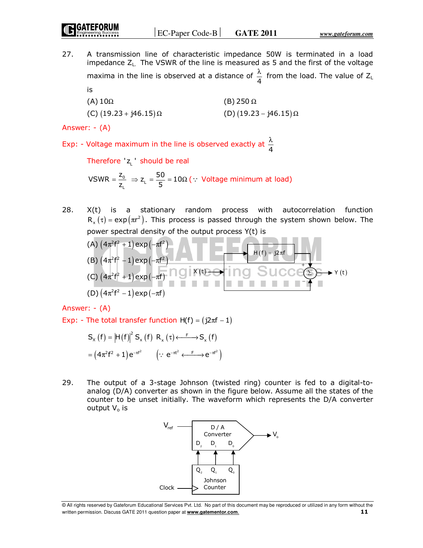27. A transmission line of characteristic impedance 50W is terminated in a load impedance ZL. The VSWR of the line is measured as 5 and the first of the voltage maxima in the line is observed at a distance of  $\frac{\pi}{4}$  $\frac{\lambda}{4}$  from the load. The value of Z<sub>L</sub> is

| (A) $10\Omega$                  | (B) 250 $\Omega$                |
|---------------------------------|---------------------------------|
| (C) $(19.23 + j46.15)$ $\Omega$ | (D) $(19.23 - j46.15)$ $\Omega$ |

Answer: - (A)

Exp: - Voltage maximum in the line is observed exactly at  $\frac{\pi}{4}$ λ

Therefore 'z<sub>L</sub>' should be real

0 L VSWR =  $\frac{z_0}{z_1} \Rightarrow z_1 = \frac{50}{5} = 10\Omega$  ( : Voltage minimum at load)

28. X(t) is a stationary random process with autocorrelation function  $R_{x}(\tau )$  = exp $\left( \pi r^{2}\right) .$  This process is passed through the system shown below. The power spectral density of the output process Y(t) is

(A) 
$$
(4\pi^2 f^2 + 1) \exp(-\pi f^2)
$$
  
\n(B)  $(4\pi^2 f^2 - 1) \exp(-\pi f^2)$   
\n(C)  $(4\pi^2 f^2 + 1) \exp(-\pi f)$   
\n(D)  $(4\pi^2 f^2 - 1) \exp(-\pi f)$   
\n(B)  $(4\pi^2 f^2 - 1) \exp(-\pi f)$ 

Answer: - (A)

Exp: - The total transfer function  $H(f) = (j2\pi f - 1)$ 

$$
S_{x}(f) = |H(f)|^{2} S_{x}(f) R_{x}(\tau) \xleftarrow{F} S_{x}(f)
$$

$$
= (4\pi^{2}f^{2} + 1)e^{-\pi f^{2}} \qquad (\because e^{-\pi t^{2}} \xleftarrow{F} e^{-\pi f^{2}})
$$

29. The output of a 3-stage Johnson (twisted ring) counter is fed to a digital-toanalog (D/A) converter as shown in the figure below. Assume all the states of the counter to be unset initially. The waveform which represents the D/A converter output  $V_0$  is



<sup>©</sup> All rights reserved by Gateforum Educational Services Pvt. Ltd. No part of this document may be reproduced or utilized in any form without the written permission. Discuss GATE 2011 question paper at **www.gatementor.com**. **11**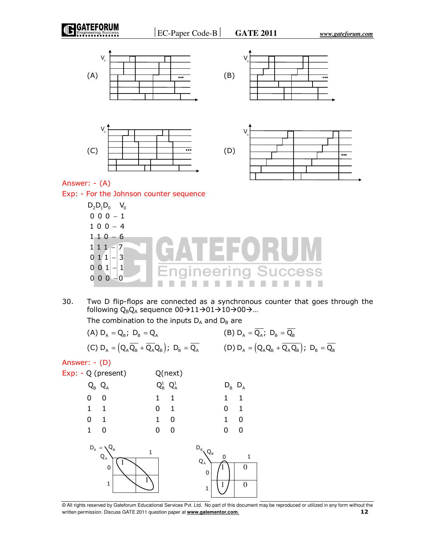

30. Two D flip-flops are connected as a synchronous counter that goes through the following  $Q_BQ_A$  sequence  $00 \rightarrow 11 \rightarrow 01 \rightarrow 10 \rightarrow 00 \rightarrow ...$ 

The combination to the inputs  $D_A$  and  $D_B$  are

(A)  $D_A = Q_B$ ;  $D_B = Q_A$  (B)  $D_A = \overline{Q_A}$ ;  $D_B = \overline{Q_B}$ (C)  $D_A = (Q_A \overline{Q_B} + \overline{Q_A} Q_B)$ ;  $D_B = \overline{Q_A}$  (D)  $D_A = (Q_A Q_B + \overline{Q_A} \overline{Q_B})$ ;  $D_B = \overline{Q_B}$ 

## Answer: - (D)



<sup>©</sup> All rights reserved by Gateforum Educational Services Pvt. Ltd. No part of this document may be reproduced or utilized in any form without the written permission. Discuss GATE 2011 question paper at **www.gatementor.com**. **12**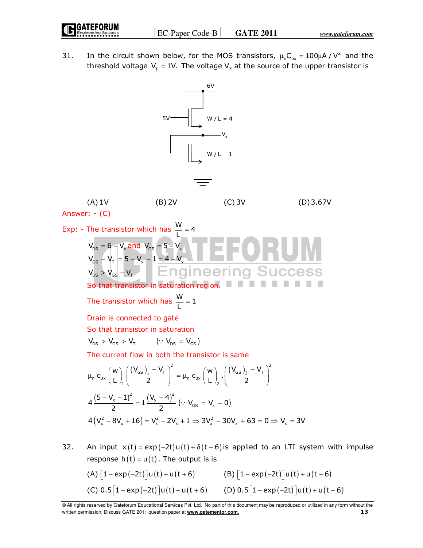31. In the circuit shown below, for the MOS transistors,  $\mu_{n}C_{ox} = 100 \mu A / V^{2}$  and the threshold voltage  $\mathsf{V}_{_{\mathsf{T}}}$  = 1V. The voltage  $\mathsf{V}_{\mathsf{x}}$  at the source of the upper transistor is



 $(A) \left[1 - \exp(-2t)\right] u(t) + u(t+6)$   $(B) \left[1 - \exp(-2t)\right] u(t) + u(t-6)$ (C)  $0.5[1 - \exp(-2t)]u(t) + u(t + 6)$  (D)  $0.5[1 - \exp(-2t)]u(t) + u(t - 6)$ 

<sup>©</sup> All rights reserved by Gateforum Educational Services Pvt. Ltd. No part of this document may be reproduced or utilized in any form without the written permission. Discuss GATE 2011 question paper at **www.gatementor.com**. **13**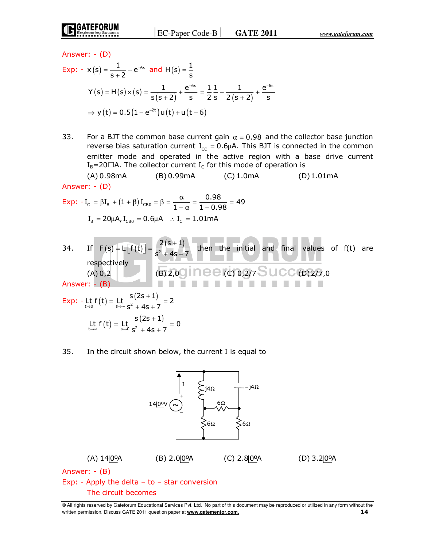Exp:  $- x(s) = \frac{1}{s+2} + e^{-6s}$  $=\frac{1}{s+2}+e^{-6s}$  and  $H(s)=\frac{1}{s}$ =  $Y(s) = H(s) \times (s) = \frac{1}{s(s+2)}$ 1  $e^{-6s}$  $s(s+2)$  s  $=\frac{1}{s(s+2)}+\frac{e^{-6s}}{s}=\frac{1}{2}\frac{1}{s}-\frac{1}{2(s+2)}$  $11 \t 1 \t e^{-6s}$  $2 s 2 (s + 2) s$  $=\frac{1}{2}\frac{1}{s}-\frac{1}{2(s+2)}+\frac{e^{-}}{s}$  $\Rightarrow$  y (t) = 0.5 (1 – e<sup>-2t</sup>) u (t) + u (t – 6)

33. For a BJT the common base current gain  $\alpha = 0.98$  and the collector base junction reverse bias saturation current  $I_{\text{co}} = 0.6 \mu A$ . This BJT is connected in the common emitter mode and operated in the active region with a base drive current  $I_B$ =20X A. The collector current  $I_C$  for this mode of operation is

 (A) 0.98mA (B) 0.99mA (C) 1.0mA (D) 1.01mA Answer: - (D)

$$
Exp: -I_{C} = \beta I_{B} + (1 + \beta) I_{CBO} = \beta = \frac{\alpha}{1 - \alpha} = \frac{0.98}{1 - 0.98} = 49
$$

$$
I_{B} = 20 \mu A, I_{CBO} = 0.6 \mu A \quad \therefore I_{C} = 1.01 mA
$$

34. If 
$$
F(s) = L[f(t)] = \frac{2(s+1)}{s^2 + 4s + 7}
$$
 then the initial and final values of  $f(t)$  are  
respectively  
(A) 0,2 (B) 2,00 (C) 0,2/7 S UCC (D) 2/7,0  
Answer: - (B)  
Exp: - Lt  $f(t) = Lt \frac{s(2s+1)}{s^2 + 4s + 7} = 2$   
Lt  $f(t) = Lt \frac{s(2s+1)}{s^2 + 4s + 7} = 0$ 

## 35. In the circuit shown below, the current I is equal to



© All rights reserved by Gateforum Educational Services Pvt. Ltd. No part of this document may be reproduced or utilized in any form without the written permission. Discuss GATE 2011 question paper at **www.gatementor.com**. **14** 

Answer: - (D)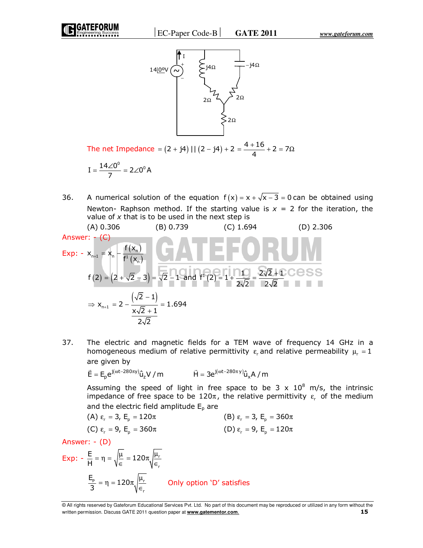



The net Impedance =  $(2 + j4)$  ||  $(2 - j4) + 2 = \frac{4 + 16}{4} + 2 = 7$  $=\frac{4+16}{1}+2=7\Omega$ 

$$
I=\frac{14\angle 0^0}{7}=2\angle 0^0 A
$$

36. A numerical solution of the equation  $f(x) = x + \sqrt{x-3} = 0$  can be obtained using Newton- Raphson method. If the starting value is  $x = 2$  for the iteration, the value of *x* that is to be used in the next step is

(A) 0.306 (B) 0.739 (C) 1.694 (D) 2.306  
\nAnswer: - (C)  
\nExp: - x<sub>n+1</sub> = x<sub>n</sub> - 
$$
\frac{f(x_n)}{f^1(x_n)}
$$
  
\n $f(2) = (2 + \sqrt{2} - 3) = \sqrt{2} - 1$  and  $f^1(2) = 1 + \frac{10}{2\sqrt{2}} = \frac{2\sqrt{2} + 1}{2\sqrt{2}}$   
\n $\Rightarrow x_{n+1} = 2 - \frac{(\sqrt{2} - 1)}{x\sqrt{2} + 1} = 1.694$ 

37. The electric and magnetic fields for a TEM wave of frequency 14 GHz in a homogeneous medium of relative permittivity  $\varepsilon_{\textsf{\tiny{r}}}$  and relative permeability  $\mu_{\textsf{\tiny{r}}} = 1$ are given by

$$
\vec{E} = E_p e^{j(\omega t - 280\pi y)} \hat{u}_z V / m \qquad \qquad \vec{H} = 3e^{j(\omega t - 280\pi y)} \hat{u}_x A / m
$$

Assuming the speed of light in free space to be  $3 \times 10^8$  m/s, the intrinsic impedance of free space to be 120 $\pi$ , the relative permittivity  $\varepsilon_r$  of the medium and the electric field amplitude  $E_p$  are

(A) 
$$
\varepsilon_r = 3
$$
,  $E_p = 120\pi$   
\n(C)  $\varepsilon_r = 9$ ,  $E_p = 360\pi$   
\n(B)  $\varepsilon_r = 3$ ,  $E_p = 360\pi$   
\n(D)  $\varepsilon_r = 9$ ,  $E_p = 120\pi$ 

Answer: - (D)

$$
\begin{aligned} \text{Exp:} \ - \ \frac{\mathsf{E}}{\mathsf{H}} &= \eta = \sqrt{\frac{\mu}{\epsilon}} = 120\pi \sqrt{\frac{\mu_r}{\epsilon_r}} \\ \frac{\mathsf{E}_p}{3} &= \eta = 120\pi \sqrt{\frac{\mu_r}{\epsilon_r}} \end{aligned} \qquad \text{Only option 'D' satisfies}
$$

<sup>©</sup> All rights reserved by Gateforum Educational Services Pvt. Ltd. No part of this document may be reproduced or utilized in any form without the written permission. Discuss GATE 2011 question paper at **www.gatementor.com**. **15**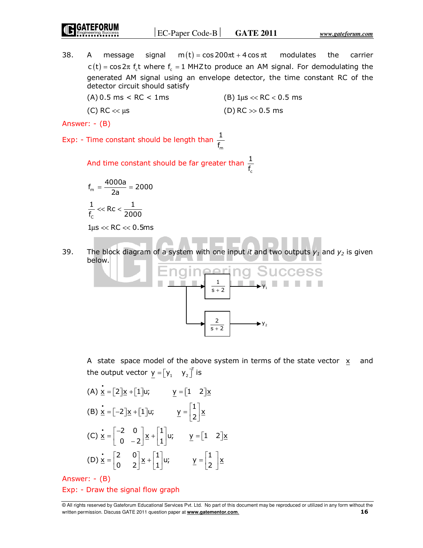| <b>ID GATEFORUM</b> | $ EC-Paper Code-B $ | <b>GATE 2011</b> | www.gateforum.com |
|---------------------|---------------------|------------------|-------------------|
|                     |                     |                  |                   |

38. A message signal  $m(t) = cos 200 \pi t + 4 cos \pi t$  modulates the carrier  $c(t) = \cos 2\pi f$ , t where  $f = 1$  MHZ to produce an AM signal. For demodulating the generated AM signal using an envelope detector, the time constant RC of the detector circuit should satisfy (A)  $0.5 \text{ ms} < \text{RC} < 1 \text{ ms}$  (B)  $1 \mu s < \text{RC} < 0.5 \text{ ms}$ 

m

c

(C) RC  $\ll \mu$ s (D) RC  $\gg 0.5$  ms

Answer: - (B)

Exp: - Time constant should be length than 1 f

 And time constant should be far greater than 1 f

$$
f_m = \frac{4000a}{2a} = 2000
$$

$$
\frac{1}{f_c} << RC < \frac{1}{2000}
$$

 $1 \mu s \ll RC \ll 0.5 \text{ms}$ 

39. The block diagram of a system with one input *it* and two outputs  $y_1$  and  $y_2$  is given below.



 A state space model of the above system in terms of the state vector xand the output vector  $\mathbf{y} = \begin{bmatrix} \mathsf{y}_1 & \mathsf{y}_2 \end{bmatrix}^T$  is

(A) 
$$
\dot{\underline{x}} = [2] \underline{x} + [1] \underline{u};
$$
  $\underline{y} = [1 \ 2] \underline{x}$   
\n(B)  $\dot{\underline{x}} = [-2] \underline{x} + [1] \underline{u};$   $\underline{y} = \begin{bmatrix} 1 \\ 2 \end{bmatrix} \underline{x}$   
\n(C)  $\dot{\underline{x}} = \begin{bmatrix} -2 & 0 \\ 0 & -2 \end{bmatrix} \underline{x} + \begin{bmatrix} 1 \\ 1 \end{bmatrix} \underline{u};$   $\underline{y} = [1 \ 2] \underline{x}$   
\n(D)  $\dot{\underline{x}} = \begin{bmatrix} 2 & 0 \\ 0 & 2 \end{bmatrix} \underline{x} + \begin{bmatrix} 1 \\ 1 \end{bmatrix} \underline{u};$   $\underline{y} = \begin{bmatrix} 1 \\ 2 \end{bmatrix} \underline{x}$ 

Answer: - (B)

Exp: - Draw the signal flow graph

<sup>©</sup> All rights reserved by Gateforum Educational Services Pvt. Ltd. No part of this document may be reproduced or utilized in any form without the written permission. Discuss GATE 2011 question paper at **www.gatementor.com**. **16**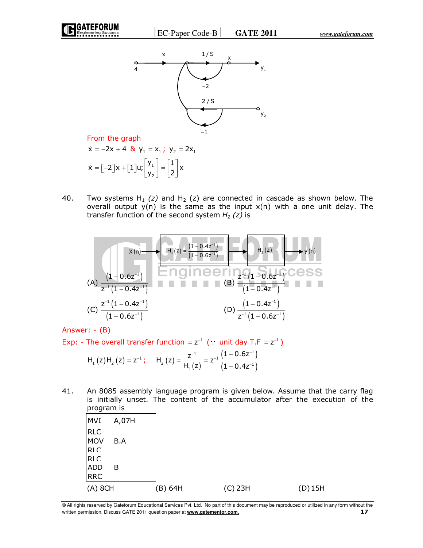

From the graph

 $\dot{x} = -2x + 4$  &  $y_1 = x_1$ ;  $y_2 = 2x_1$ 1 2  $\dot{x} = \begin{bmatrix} -2 \\ x + \begin{bmatrix} 1 \\ y \end{bmatrix} u \end{bmatrix}$  $\begin{bmatrix} y_1 \\ y_2 \end{bmatrix} = \begin{bmatrix} 1 \\ 2 \end{bmatrix} x$  $y_2$  | |2|  $\dot{x} = \begin{bmatrix} -2 \end{bmatrix} x + \begin{bmatrix} 1 \end{bmatrix} u; \begin{bmatrix} y_1 \\ y_2 \end{bmatrix} = \begin{bmatrix} 1 \\ 2 \end{bmatrix}$ 

40. Two systems  $H_1(z)$  and  $H_2(z)$  are connected in cascade as shown below. The overall output  $y(n)$  is the same as the input  $x(n)$  with a one unit delay. The transfer function of the second system *H2 (z)* is

$$
(A) \frac{(1 - 0.6z^{-1})}{z^{-1}(1 - 0.4z^{-1})}
$$
\n
$$
(B) \frac{z^{-1}(1 - 0.4z^{-1})}{(1 - 0.4z^{-1})}
$$
\n
$$
(C) \frac{z^{-1}(1 - 0.4z^{-1})}{(1 - 0.6z^{-1})}
$$
\n
$$
(D) \frac{(1 - 0.4z^{-1})}{z^{-1}(1 - 0.6z^{-1})}
$$

Answer: - (B)

Exp: - The overall transfer function =  $z^{-1}$  (: unit day T.F =  $z^{-1}$ )

$$
H_1(z)H_2(z) = z^{-1}
$$
;  $H_2(z) = \frac{z^{-1}}{H_1(z)} = z^{-1} \frac{(1 - 0.6z^{-1})}{(1 - 0.4z^{-1})}$ 

41. An 8085 assembly language program is given below. Assume that the carry flag is initially unset. The content of the accumulator after the execution of the program is

| <b>MVI</b><br>A,07H<br>RIC<br>MOV<br>B.A<br>RIC<br>RIC<br>ADD<br>B<br><b>RRC</b><br>(A) 8CH<br>$(B)$ 64H<br>$(C)$ 23H<br>$(D)$ 15H | P: 99. 9. 9 |  |  |
|------------------------------------------------------------------------------------------------------------------------------------|-------------|--|--|
|                                                                                                                                    |             |  |  |
|                                                                                                                                    |             |  |  |
|                                                                                                                                    |             |  |  |
|                                                                                                                                    |             |  |  |
|                                                                                                                                    |             |  |  |
|                                                                                                                                    |             |  |  |

<sup>©</sup> All rights reserved by Gateforum Educational Services Pvt. Ltd. No part of this document may be reproduced or utilized in any form without the written permission. Discuss GATE 2011 question paper at **www.gatementor.com**. **17**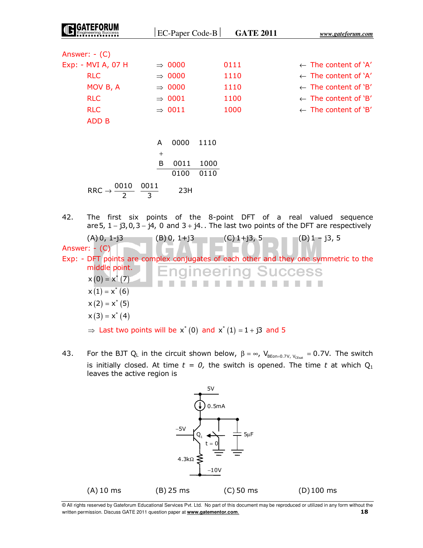|     |                                                 |        | $EC-Paper Code-B$  | <b>GATE 2011</b>    | www.gateforum.com                                                                                                                                                   |
|-----|-------------------------------------------------|--------|--------------------|---------------------|---------------------------------------------------------------------------------------------------------------------------------------------------------------------|
|     |                                                 |        |                    |                     |                                                                                                                                                                     |
|     | Answer: $-$ (C)                                 |        |                    |                     |                                                                                                                                                                     |
|     | Exp: - MVI A, 07 H                              |        | $\Rightarrow$ 0000 | 0111                | $\leftarrow$ The content of $'A'$                                                                                                                                   |
|     | <b>RLC</b>                                      |        | $\Rightarrow$ 0000 | 1110                | $\leftarrow$ The content of `A'                                                                                                                                     |
|     | MOV B, A                                        |        | $\Rightarrow$ 0000 | 1110                | $\leftarrow$ The content of 'B'                                                                                                                                     |
|     | <b>RLC</b>                                      |        | $\Rightarrow$ 0001 | 1100                | $\leftarrow$ The content of 'B'                                                                                                                                     |
|     | <b>RLC</b>                                      |        | $\Rightarrow$ 0011 | 1000                | $\leftarrow$ The content of 'B'                                                                                                                                     |
|     | <b>ADD B</b>                                    |        |                    |                     |                                                                                                                                                                     |
|     |                                                 |        |                    |                     |                                                                                                                                                                     |
|     |                                                 | A      | 0000<br>1110       |                     |                                                                                                                                                                     |
|     |                                                 | $^{+}$ |                    |                     |                                                                                                                                                                     |
|     |                                                 | B      | 0011<br>1000       |                     |                                                                                                                                                                     |
|     |                                                 |        | 0100<br>0110       |                     |                                                                                                                                                                     |
|     | RRC $\rightarrow \frac{0010}{2} \frac{0011}{3}$ |        | 23H                |                     |                                                                                                                                                                     |
|     |                                                 |        |                    |                     |                                                                                                                                                                     |
| 42. |                                                 |        |                    |                     | The first six points of the 8-point DFT of a real valued sequence<br>are 5, $1 - j3$ , 0, $3 - j4$ , 0 and $3 + j4$ The last two points of the DFT are respectively |
|     | $(A) 0, 1-i3$                                   |        | $(B)$ 0, 1+j3      | (C) 1+j3, 5         | $(D)$ 1 – j3, 5                                                                                                                                                     |
|     | Answer: $-$ (C)                                 |        |                    |                     |                                                                                                                                                                     |
|     | middle point.                                   |        |                    | Enaineerina Success | Exp: - DFT points are complex conjugates of each other and they one symmetric to the                                                                                |
|     | $x(0) = x^*(7)$                                 |        |                    |                     |                                                                                                                                                                     |

43. For the BJT Q<sub>L</sub> in the circuit shown below,  $\beta = \infty$ , V<sub>BEon=0.7V, V<sub>CEsat</sub> = 0.7V. The switch</sub> is initially closed. At time  $t = 0$ , the switch is opened. The time  $t$  at which  $Q_1$ leaves the active region is

 $\Rightarrow$  Last two points will be  $x^*(0)$  and  $x^*(1) = 1 + j3$  and 5

 $x(0) = x^*(7)$  $x(1) = x^*(6)$  $x(2) = x^*(5)$  $x(3) = x^{*}(4)$ 



<sup>©</sup> All rights reserved by Gateforum Educational Services Pvt. Ltd. No part of this document may be reproduced or utilized in any form without the written permission. Discuss GATE 2011 question paper at **www.gatementor.com**. **18**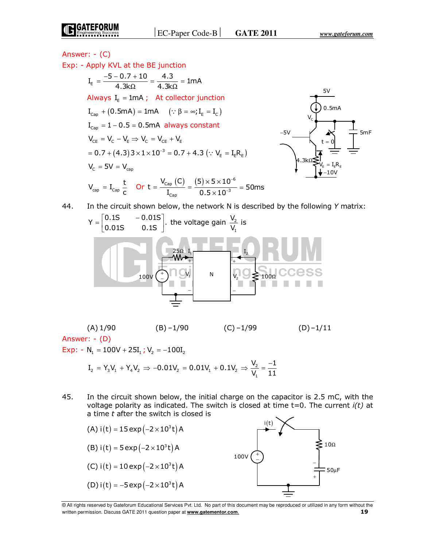Answer: - (C)  
\nExp: - Apply KVL at the BE junction  
\n
$$
I_{E} = \frac{-5 - 0.7 + 10}{4.3k\Omega} = \frac{4.3}{4.3k\Omega} = 1 \text{ mA}
$$
\nAlways  $I_{E} = 1 \text{ mA}$ ; At collector junction  
\n
$$
I_{Cap} + (0.5 \text{ mA}) = 1 \text{ mA}
$$
 (:  $\beta = \infty$ ;  $I_{E} = I_{C}$ )  
\n
$$
I_{Cap} = 1 - 0.5 = 0.5 \text{ mA}
$$
 always constant  
\n
$$
V_{CE} = V_{C} - V_{E} \Rightarrow V_{C} = V_{CE} + V_{E}
$$
\n
$$
= 0.7 + (4.3)3 \times 1 \times 10^{-3} = 0.7 + 4.3 (::  $V_{E} = I_{E}R_{E}$ )  
\n
$$
V_{C} = 5V = V_{cap}
$$
\n
$$
V_{cap} = I_{Cap} \frac{t}{c}
$$
 Or  $t = \frac{V_{cap}(C)}{I_{cap}} = \frac{(5) \times 5 \times 10^{-6}}{0.5 \times 10^{-3}} = 50 \text{ ms}$   
\n44. In the circuit shown below, the network N is described by the following Y matrix:
$$

Y = 
$$
\begin{bmatrix} 0.15 & -0.015 \\ 0.015 & 0.15 \end{bmatrix}
$$
. the voltage gain  $\frac{V_2}{V_1}$  is  
\n $\frac{25\Omega}{W} = \frac{I_1}{W} = \frac{I_2}{V_2}$   
\n $\frac{1}{V_2} = \frac{I_1}{100\Omega}$ 

(A)  $1/90$  (B)  $-1/90$  (C)  $-1/99$  (D)  $-1/11$ Answer: - (D) Exp:  $- N_1 = 100V + 25I_1$ ;  $V_2 = -100I_2$ 

$$
I_2 = Y_3 V_1 + Y_4 V_2 \Rightarrow -0.01 V_2 = 0.01 V_1 + 0.1 V_2 \Rightarrow \frac{V_2}{V_1} = \frac{-1}{11}
$$

45. In the circuit shown below, the initial charge on the capacitor is 2.5 mC, with the voltage polarity as indicated. The switch is closed at time t=0. The current *i(t)* at a time *t* after the switch is closed is



<sup>©</sup> All rights reserved by Gateforum Educational Services Pvt. Ltd. No part of this document may be reproduced or utilized in any form without the written permission. Discuss GATE 2011 question paper at **www.gatementor.com**. **19**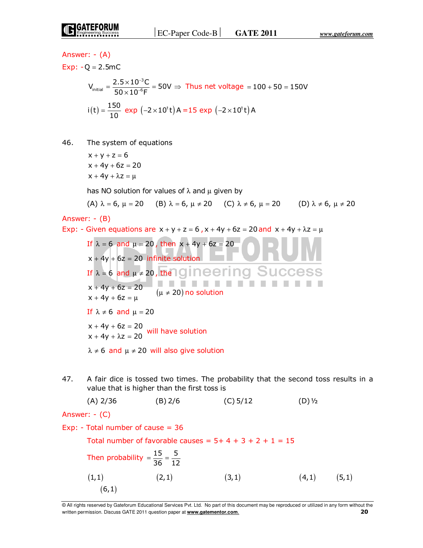Answer: - (A) Exp:  $-Q = 2.5MC$ −  $=\frac{2.5\times10^{-3}C}{2.0\times10^{-5}C}=$ 3  $V_{initial} = \frac{2.5 \times 10^{-3} \text{C}}{50 \times 10^{-6} \text{E}} = 50 V$  $\frac{\overline{0.20} \times 10^{-6}}{x \times 10^{-6}}$  = 50V  $\Rightarrow$  Thus net voltage = 100 + 50 = 150V −  $50\times 10^{-6}$ F  $i(t) = \frac{150}{10}$  exp  $(-2 \times 10^{t} t)$  A = 15 exp  $(-2 \times 10^{t} t)$  A 46. The system of equations  $x + y + z = 6$  $x + 4y + 6z = 20$  $x + 4y + \lambda z = \mu$ has NO solution for values of  $\lambda$  and  $\mu$  given by (A)  $\lambda = 6$ ,  $\mu = 20$  (B)  $\lambda = 6$ ,  $\mu \neq 20$  (C)  $\lambda \neq 6$ ,  $\mu = 20$  (D)  $\lambda \neq 6$ ,  $\mu \neq 20$ Answer: - (B) Exp: - Given equations are  $x + y + z = 6$ ,  $x + 4y + 6z = 20$  and  $x + 4y + \lambda z = \mu$ If  $\lambda = 6$  and  $\mu = 20$ , then  $x + 4y + 6z = 20$  $x + 4y + 6z = 20$  infinite solution If  $\lambda = 6$  and  $\mu \neq 20$ , the Igineering Success . . . . . .  $x + 4y + 6z = 20$  $(\mu \neq 20)$  no solution  $x + 4y + 6z = \mu$ If  $\lambda \neq 6$  and  $\mu = 20$  $+ 4y + 6z =$  $x + 4y + 6z = 20$  $+4y + \lambda z = 20$  will have solution  $x + 4y + \lambda z = 20$  $\lambda \neq 6$  and  $\mu \neq 20$  will also give solution 47. A fair dice is tossed two times. The probability that the second toss results in a value that is higher than the first toss is (A)  $2/36$  (B)  $2/6$  (C)  $5/12$  (D)  $1/2$ Answer: - (C) Exp: - Total number of cause = 36 Total number of favorable causes =  $5+4+3+2+1=15$ Then probability  $=$   $\frac{15}{36}$   $=$   $\frac{5}{12}$  $=\frac{15}{26}$  =  $(1,1)$   $(2,1)$   $(3,1)$   $(4,1)$   $(5,1)$  $(6,1)$ 

<sup>©</sup> All rights reserved by Gateforum Educational Services Pvt. Ltd. No part of this document may be reproduced or utilized in any form without the written permission. Discuss GATE 2011 question paper at **www.gatementor.com**. **20**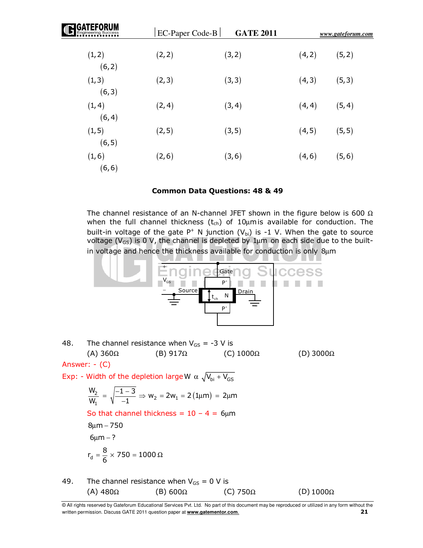| <b>GATEFORUM</b> | $EC-Paper Code-B$ | <b>GATE 2011</b> |        | www.gateforum.com |  |
|------------------|-------------------|------------------|--------|-------------------|--|
| (1, 2)<br>(6, 2) | (2, 2)            | (3, 2)           | (4, 2) | (5, 2)            |  |
| (1, 3)<br>(6, 3) | (2, 3)            | (3, 3)           | (4, 3) | (5, 3)            |  |
| (1, 4)<br>(6, 4) | (2, 4)            | (3, 4)           | (4, 4) | (5, 4)            |  |
| (1, 5)<br>(6, 5) | (2, 5)            | (3, 5)           | (4, 5) | (5, 5)            |  |
| (1, 6)<br>(6, 6) | (2, 6)            | (3, 6)           | (4, 6) | (5, 6)            |  |

### **Common Data Questions: 48 & 49**

The channel resistance of an N-channel JFET shown in the figure below is 600  $\Omega$ when the full channel thickness  $(t_{ch})$  of 10 µmis available for conduction. The built-in voltage of the gate  $P^+$  N junction  $(V_{bi})$  is -1 V. When the gate to source voltage ( $V_{GS}$ ) is 0 V, the channel is depleted by 1 $\mu$ m on each side due to the builtin voltage and hence the thickness available for conduction is only 8um



(A)  $480\Omega$  (B)  $600\Omega$  (C)  $750\Omega$  (D)  $1000\Omega$ 

<sup>©</sup> All rights reserved by Gateforum Educational Services Pvt. Ltd. No part of this document may be reproduced or utilized in any form without the written permission. Discuss GATE 2011 question paper at **www.gatementor.com**. **21**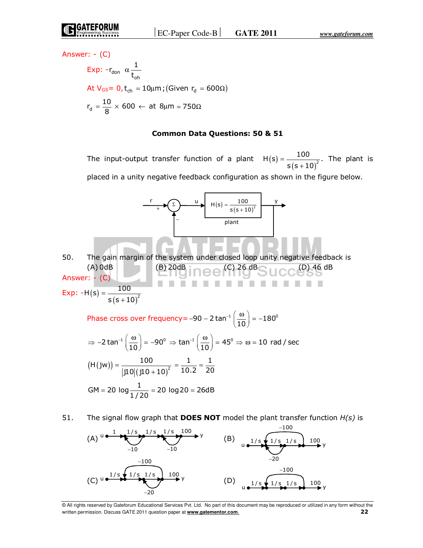Answer: - (C)

$$
\begin{aligned} \text{Exp:} \ -r_{\text{don}} \ &\alpha \frac{1}{t_{\text{oh}}} \\ \text{At } V_{\text{GS}} &= 0, t_{\text{ch}} = 10 \mu \text{m}; \text{(Given } r_{\text{d}} = 600 \Omega) \\ r_{\text{d}} &= \frac{10}{8} \times 600 \leftarrow \text{at } 8 \mu \text{m} = 750 \Omega \end{aligned}
$$

#### **Common Data Questions: 50 & 51**

The input-output transfer function of a plant  $H(s)$  $(S + 10)^2$  $H(s) = \frac{100}{s^2}$ .  $s(s+10$ = + The plant is placed in a unity negative feedback configuration as shown in the figure below.



Phase cross over frequency= –90 – 2 tan $^{-1}\left(\frac{\omega}{10}\right)$  = –180 $^{\circ}$  $-90 - 2\tan^{-1}\left(\frac{\omega}{10}\right) = -$ 

$$
\Rightarrow -2 \tan^{-1} \left( \frac{\omega}{10} \right) = -90^{\circ} \Rightarrow \tan^{-1} \left( \frac{\omega}{10} \right) = 45^{\circ} \Rightarrow \omega = 10 \text{ rad / sec}
$$
  
(H(jw)) = 
$$
\frac{100}{|j10|(j10+10)^{2}} = \frac{1}{10.2} = \frac{1}{20}
$$
  
GM = 20 log  $\frac{1}{1/20}$  = 20 log 20 = 26dB

51. The signal flow graph that **DOES NOT** model the plant transfer function *H(s)* is



<sup>©</sup> All rights reserved by Gateforum Educational Services Pvt. Ltd. No part of this document may be reproduced or utilized in any form without the written permission. Discuss GATE 2011 question paper at **www.gatementor.com**. **22**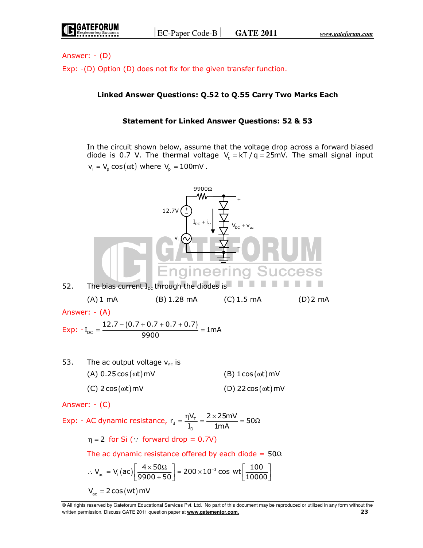Answer: - (D)

Exp: -(D) Option (D) does not fix for the given transfer function.

# **Linked Answer Questions: Q.52 to Q.55 Carry Two Marks Each**

### **Statement for Linked Answer Questions: 52 & 53**

 In the circuit shown below, assume that the voltage drop across a forward biased diode is 0.7 V. The thermal voltage  $V_t = kT / q = 25mV$ . The small signal input  $v_i = V_p \cos(\omega t)$  where  $V_p = 100$ mV.



<sup>©</sup> All rights reserved by Gateforum Educational Services Pvt. Ltd. No part of this document may be reproduced or utilized in any form without the written permission. Discuss GATE 2011 question paper at **www.gatementor.com**. **23**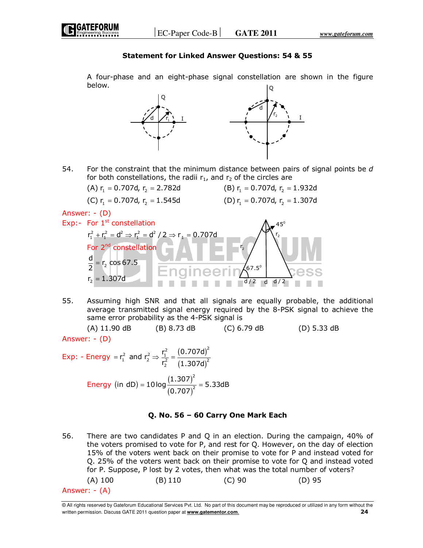## **Statement for Linked Answer Questions: 54 & 55**

 A four-phase and an eight-phase signal constellation are shown in the figure below. Q



54. For the constraint that the minimum distance between pairs of signal points be *d*  for both constellations, the radii  $r_1$ , and  $r_2$  of the circles are

(A) 
$$
r_1 = 0.707d
$$
,  $r_2 = 2.782d$ 

(C) 
$$
r_1 = 0.707d
$$
,  $r_2 = 1.545d$  (D)  $r_1 = 0.707d$ ,  $r_2 = 1.307d$ 

(B)  $r_1 = 0.707d$ ,  $r_2 = 1.932d$ 

 $\frac{d}{2}$  d  $\frac{d}{2}$ 

2

Answer: - (D)

 $r_{2} = 1.307d$ 

- Exp:- For  $1<sup>st</sup>$  constellation  $r_1^2 + r_1^2 = d^2 \Rightarrow r_1^2 = d^2 / 2 \Rightarrow r_1 = 0.707d$ For 2<sup>nd</sup> constellation  $= r_2 \cos 67.5$ d 2 2 r  $45^{\circ}$ r  $67.5^{\circ}$
- 55. Assuming high SNR and that all signals are equally probable, the additional average transmitted signal energy required by the 8-PSK signal to achieve the same error probability as the 4-PSK signal is

 (A) 11.90 dB (B) 8.73 dB (C) 6.79 dB (D) 5.33 dB Answer: - (D)

Exp: - Energy = 
$$
r_1^2
$$
 and  $r_2^2 \Rightarrow \frac{r_1^2}{r_2^2} = \frac{(0.707d)^2}{(1.307d)^2}$ 

\nEnergy (in dD) =  $10 \log \frac{(1.307)^2}{(0.707)^2} = 5.33dB$ 

# **Q. No. 56 – 60 Carry One Mark Each**

56. There are two candidates P and Q in an election. During the campaign, 40% of the voters promised to vote for P, and rest for Q. However, on the day of election 15% of the voters went back on their promise to vote for P and instead voted for Q. 25% of the voters went back on their promise to vote for Q and instead voted for P. Suppose, P lost by 2 votes, then what was the total number of voters? (A) 100 (B) 110 (C) 90 (D) 95 Answer: - (A)

<sup>©</sup> All rights reserved by Gateforum Educational Services Pvt. Ltd. No part of this document may be reproduced or utilized in any form without the written permission. Discuss GATE 2011 question paper at **www.gatementor.com**. **24**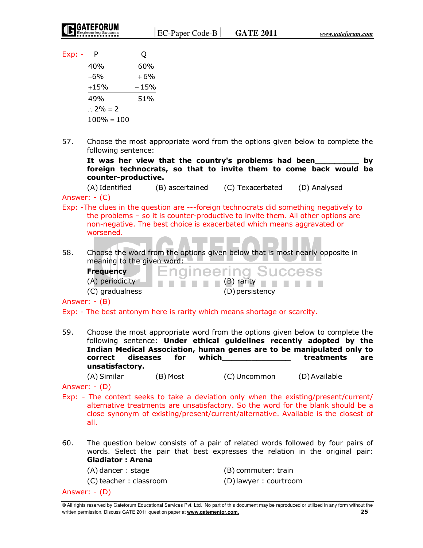$Exp: - P$  Q

| 40%                 | 60%    |
|---------------------|--------|
| -6%                 | $+6%$  |
| $+15%$              | $-15%$ |
| 49%                 | 51%    |
| $\therefore$ 2% = 2 |        |
| $100\% = 100$       |        |

57. Choose the most appropriate word from the options given below to complete the following sentence:

 **It was her view that the country's problems had been\_\_\_\_\_\_\_\_\_ by foreign technocrats, so that to invite them to come back would be counter-productive.** 

(A) Identified (B) ascertained (C) Texacerbated (D) Analysed

Answer: - (C)

- Exp: -The clues in the question are ---foreign technocrats did something negatively to the problems – so it is counter-productive to invite them. All other options are non-negative. The best choice is exacerbated which means aggravated or worsened.
- 58. Choose the word from the options given below that is most nearly opposite in meaning to the given word:

**nameering** 

**Frequency** 

 $(A)$  periodicity  $\blacksquare$   $\blacksquare$   $\blacksquare$   $\blacksquare$   $\blacksquare$   $(B)$  rarity  $\blacksquare$ 

**Success** 

(C) gradualness (D) persistency

Answer: - (B)

Exp: - The best antonym here is rarity which means shortage or scarcity.

59. Choose the most appropriate word from the options given below to complete the following sentence: **Under ethical guidelines recently adopted by the Indian Medical Association, human genes are to be manipulated only to correct diseases for which\_\_\_\_\_\_\_\_\_\_\_\_\_\_ treatments are unsatisfactory.** 

(A) Similar (B) Most (C) Uncommon (D) Available

Answer: - (D)

- Exp: The context seeks to take a deviation only when the existing/present/current/ alternative treatments are unsatisfactory. So the word for the blank should be a close synonym of existing/present/current/alternative. Available is the closest of all.
- 60. The question below consists of a pair of related words followed by four pairs of words. Select the pair that best expresses the relation in the original pair: **Gladiator : Arena**

(A) dancer : stage (B) commuter: train

(C) teacher : classroom (D) lawyer : courtroom

Answer: - (D)

<sup>©</sup> All rights reserved by Gateforum Educational Services Pvt. Ltd. No part of this document may be reproduced or utilized in any form without the written permission. Discuss GATE 2011 question paper at **www.gatementor.com**. **25**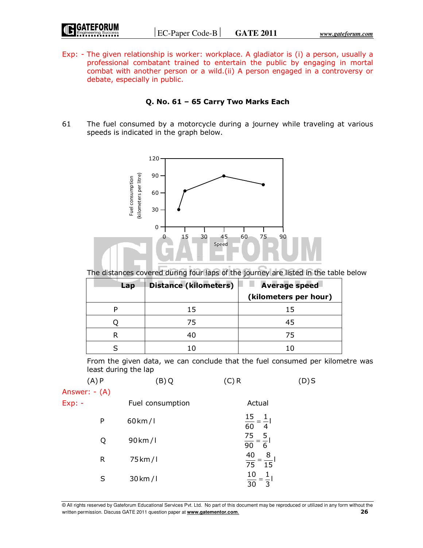| <b>IGATEFORUM</b>   |
|---------------------|
| Engineering Success |

Exp: - The given relationship is worker: workplace. A gladiator is (i) a person, usually a professional combatant trained to entertain the public by engaging in mortal combat with another person or a wild.(ii) A person engaged in a controversy or debate, especially in public.

# **Q. No. 61 – 65 Carry Two Marks Each**

61 The fuel consumed by a motorcycle during a journey while traveling at various speeds is indicated in the graph below.



The distances covered during four laps of the journey are listed in the table below

| Lap | <b>Distance (kilometers)</b> | <b>Average speed</b>  |
|-----|------------------------------|-----------------------|
|     |                              | (kilometers per hour) |
|     | 15                           | 15                    |
|     | 75                           |                       |
|     | 40                           | 75                    |
|     |                              |                       |

 From the given data, we can conclude that the fuel consumed per kilometre was least during the lap

| (A)P          |   | (B)Q                 | (C) R                                                        | (D)S |
|---------------|---|----------------------|--------------------------------------------------------------|------|
| Answer: - (A) |   |                      |                                                              |      |
| $Exp: -$      |   | Fuel consumption     | Actual                                                       |      |
|               | P | $60 \mathrm{km}/l$   | $\frac{15}{2} = \frac{1}{2}$<br>$\frac{1}{60} = \frac{1}{4}$ |      |
|               | Q | 90 km/l              | $rac{75}{90} = \frac{5}{6}$                                  |      |
|               | R | 75 km/l              | 40<br>$\frac{8}{1}$<br>$\frac{1}{75} - \frac{1}{15}$         |      |
|               | S | $30 \,\mathrm{km}/1$ | 10<br>30<br>3                                                |      |

© All rights reserved by Gateforum Educational Services Pvt. Ltd. No part of this document may be reproduced or utilized in any form without the written permission. Discuss GATE 2011 question paper at **www.gatementor.com**. **26**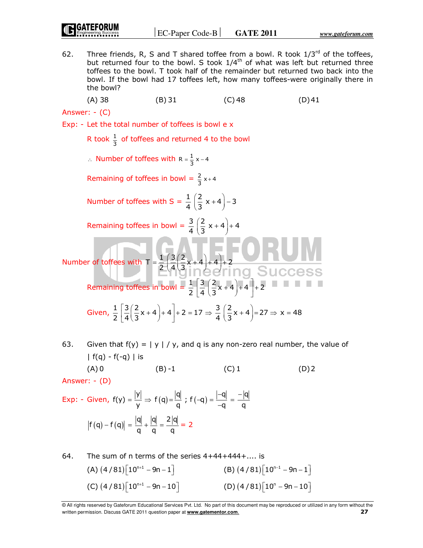62. Three friends, R, S and T shared toffee from a bowl. R took  $1/3^{rd}$  of the toffees, but returned four to the bowl. S took  $1/4^{\text{th}}$  of what was left but returned three toffees to the bowl. T took half of the remainder but returned two back into the bowl. If the bowl had 17 toffees left, how many toffees-were originally there in the bowl?

(A) 38 (B) 31 (C) 48 (D) 41

Answer: - (C)

Exp: - Let the total number of toffees is bowl e x

R took  $\frac{1}{3}$  of toffees and returned 4 to the bowl

∴ Number of toffees with  $R = \frac{1}{3}x - 4$ 

Remaining of toffees in bowl =  $\frac{2}{3}x+4$ 

Number of toffees with  $S = \frac{1}{4} \left( \frac{2}{3} x + 4 \right) - 3$  $\left(\frac{2}{3}x+4\right)$ -

Remaining toffees in bowl =  $\frac{3}{4} \left( \frac{2}{3} x + 4 \right) + 4$  $\left(\frac{2}{3}x+4\right)+$ 

Number of toffees with  $T = \frac{1}{2} \left( \frac{3}{4} \left( \frac{2}{3} x + 4 \right) + 4 \right) + 2$  $=\frac{1}{2}\left(\frac{3}{4}\left(\frac{2}{3}x+4\right)+4\right)+$ 

Remaining toffees in bowl =  $\frac{1}{2}$   $\left| \frac{3}{4} \left( \frac{2}{3}x + 4 \right) + 4 \right|$  + 2  $\left[\frac{3}{4}\left(\frac{2}{3}x+4\right)+4\right]+$ 

Given, 
$$
\frac{1}{2} \left[ \frac{3}{4} \left( \frac{2}{3} x + 4 \right) + 4 \right] + 2 = 17 \Rightarrow \frac{3}{4} \left( \frac{2}{3} x + 4 \right) = 27 \Rightarrow x = 48
$$

(A) 0 (B) -1 (C) 1 (D) 2

63. Given that  $f(y) = |y| / y$ , and q is any non-zero real number, the value of |  $f(q) - f(-q)$  | is

Answer: - (D)

Exp: - Given, 
$$
f(y) = \frac{|y|}{y} \Rightarrow f(q) = \frac{|q|}{q}
$$
;  $f(-q) = \frac{|-q|}{-q} = \frac{-|q|}{q}$ 

\n
$$
|f(q) - f(q)| = \frac{|q|}{q} + \frac{|q|}{q} = \frac{2|q|}{q} = 2
$$

64. The sum of n terms of the series 
$$
4+44+444+...
$$
 is  
\n(A)  $(4/81)[10^{n+1} - 9n - 1]$   
\n(B)  $(4/81)[10^{n-1} - 9n - 1]$   
\n(C)  $(4/81)[10^{n+1} - 9n - 10]$   
\n(D)  $(4/81)[10^n - 9n - 10]$ 

<sup>©</sup> All rights reserved by Gateforum Educational Services Pvt. Ltd. No part of this document may be reproduced or utilized in any form without the written permission. Discuss GATE 2011 question paper at **www.gatementor.com**. **27**